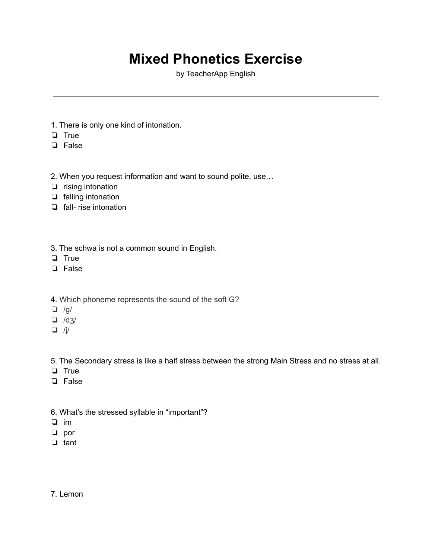# **Mixed Phonetics Exercise**

by TeacherApp English

- 1. There is only one kind of intonation.
- ❏ True
- ❏ False
- 2. When you request information and want to sound polite, use…
- ❏ rising intonation
- ❏ falling intonation
- ❏ fall- rise intonation
- 3. The schwa is not a common sound in English.
- ❏ True
- ❏ False
- 4. Which phoneme represents the sound of the soft G?
- ❏ /ɡ/
- ❏ /dʒ/
- $\Box$  /j/

5. The Secondary stress is like a half stress between the strong Main Stress and no stress at all.

- ❏ True
- ❏ False
- 6. What's the stressed syllable in "important"?
- ❏ im
- ❏ por
- ❏ tant
- 7. Lemon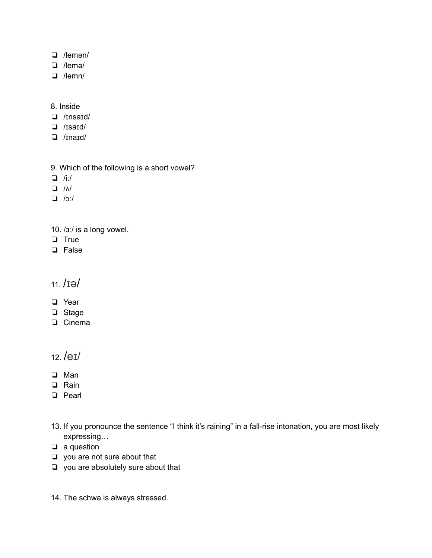- ❏ /lemən/
- ❏ /lemə/
- ❏ /lemn/

#### 8. Inside

- ❏ /ɪnsaɪd/
- ❏ /ɪsaɪd/
- ❏ /ɪnaɪd/
- 9. Which of the following is a short vowel?
- ❏ /iː/
- ❏ /ʌ/
- ❏ /ɔː/
- 10. /ɜː/ is a long vowel.
- ❏ True
- ❏ False

### 11. /ɪə/

- ❏ Year
- ❏ Stage
- ❏ Cinema

### 12. /eɪ/

- ❏ Man
- ❏ Rain
- ❏ Pearl
- 13. If you pronounce the sentence "I think it's raining" in a fall-rise intonation, you are most likely expressing…
- ❏ a question
- ❏ you are not sure about that
- ❏ you are absolutely sure about that
- 14. The schwa is always stressed.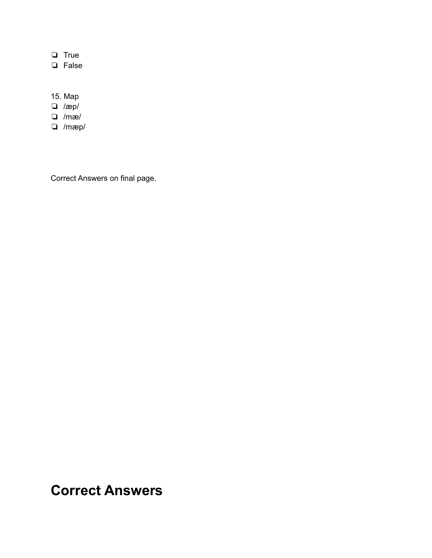❏ True

❏ False

#### 15. Map

❏ /æp/

- ❏ /mæ/
- ❏ /mæp/

Correct Answers on final page.

## **Correct Answers**